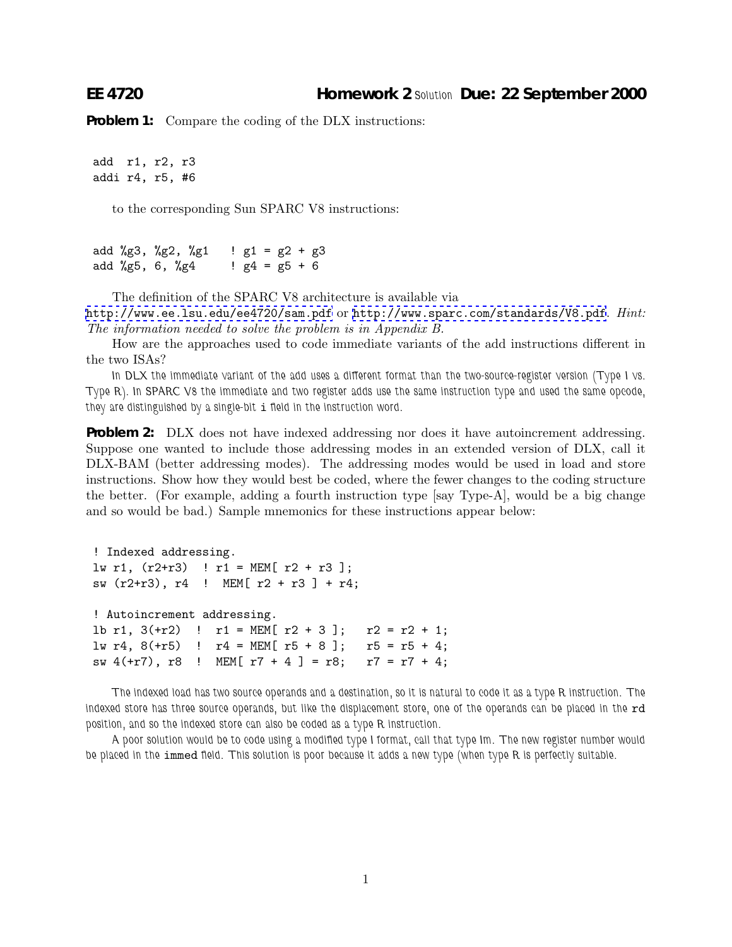**Problem 1:** Compare the coding of the DLX instructions:

add r1, r2, r3 addi r4, r5, #6

to the corresponding Sun SPARC V8 instructions:

add %g3, %g2, %g1  $\;$  ! g1 = g2 + g3 add %g5, 6, %g4  $\neq$   $g4 = g5 + 6$ 

The definition of the SPARC V8 architecture is available via

<http://www.ee.lsu.edu/ee4720/sam.pdf> or <http://www.sparc.com/standards/V8.pdf>. *Hint: The information needed to solve the problem is in Appendix B.*

How are the approaches used to code immediate variants of the add instructions different in the two ISAs?

*In DLX the immediate variant of the add uses a different format than the two-source-register version (Type I vs. Type R). In SPARC V8 the immediate and two register adds use the same instruction type and used the same opcode, they are distinguished by a single-bit* i *field in the instruction word.*

**Problem 2:** DLX does not have indexed addressing nor does it have autoincrement addressing. Suppose one wanted to include those addressing modes in an extended version of DLX, call it DLX-BAM (better addressing modes). The addressing modes would be used in load and store instructions. Show how they would best be coded, where the fewer changes to the coding structure the better. (For example, adding a fourth instruction type  $[say Type-A]$ , would be a big change and so would be bad.) Sample mnemonics for these instructions appear below:

```
! Indexed addressing.
lw r1, (r2+r3) ! r1 = MEM[ r2 + r3];
sw (r2+r3), r4 ! MEM[ r2 + r3 ] + r4;
! Autoincrement addressing.
1b r1, 3(+r2) ! r1 = MEM[ r2 + 3]; r2 = r2 + 1;
lw r4, 8(+r5) ! r4 = MEM[ r5 + 8]; r5 = r5 + 4;
sw 4(+r7), r8 ! MEM[ r7 + 4 ] = r8; r7 = r7 + 4;
```
*The indexed load has two source operands and a destination, so it is natural to code it as a type R instruction. The* indexed store has three source operands, but like the displacement store, one of the operands can be placed in the rd *position, and so the indexed store can also be coded as a type R instruction.*

*A poor solution would be to code using a modified type I format, call that type Im. The new register number would be placed in the* immed *field. This solution is poor because it adds a new type (when type R is perfectly suitable.*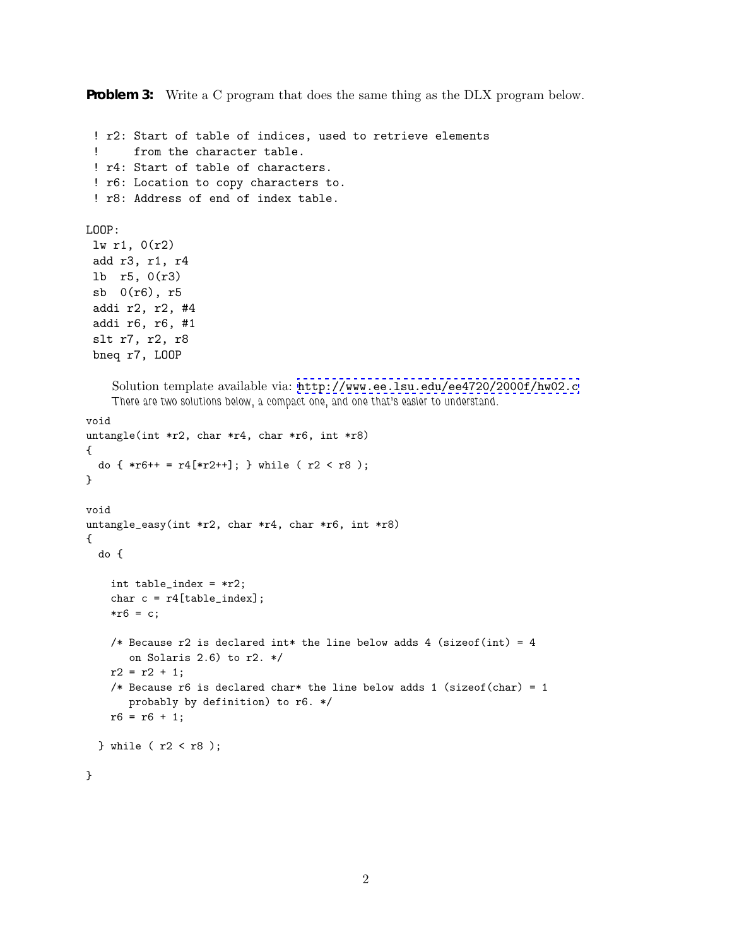**Problem 3:** Write a C program that does the same thing as the DLX program below.

```
! r2: Start of table of indices, used to retrieve elements
 ! from the character table.
 ! r4: Start of table of characters.
 ! r6: Location to copy characters to.
 ! r8: Address of end of index table.
LOOP:
 lw r1, 0(r2)
 add r3, r1, r4
 lb r5, 0(r3)
 sb 0(r6), r5
 addi r2, r2, #4
 addi r6, r6, #1
 slt r7, r2, r8
 bneq r7, LOOP
    Solution template available via: http://www.ee.lsu.edu/ee4720/2000f/hw02.c
    There are two solutions below, a compact one, and one that's easier to understand.
void
untangle(int *r2, char *r4, char *r6, int *r8)
{
  do \{ *r6++ = r4[*r2++]; \} while (r2 < r8);
}
void
untangle_easy(int *r2, char *r4, char *r6, int *r8)
{
  do {
    int table_index = *r2;
   char c = r4[table_index];* r 6 = c;/* Because r2 is declared int* the line below adds 4 (sizeof(int) = 4
       on Solaris 2.6) to r2. */
    r2 = r2 + 1;
    /* Because r6 is declared char* the line below adds 1 (sizeof(char) = 1
       probably by definition) to r6. */
    r6 = r6 + 1;} while (r2 < r8);
}
```